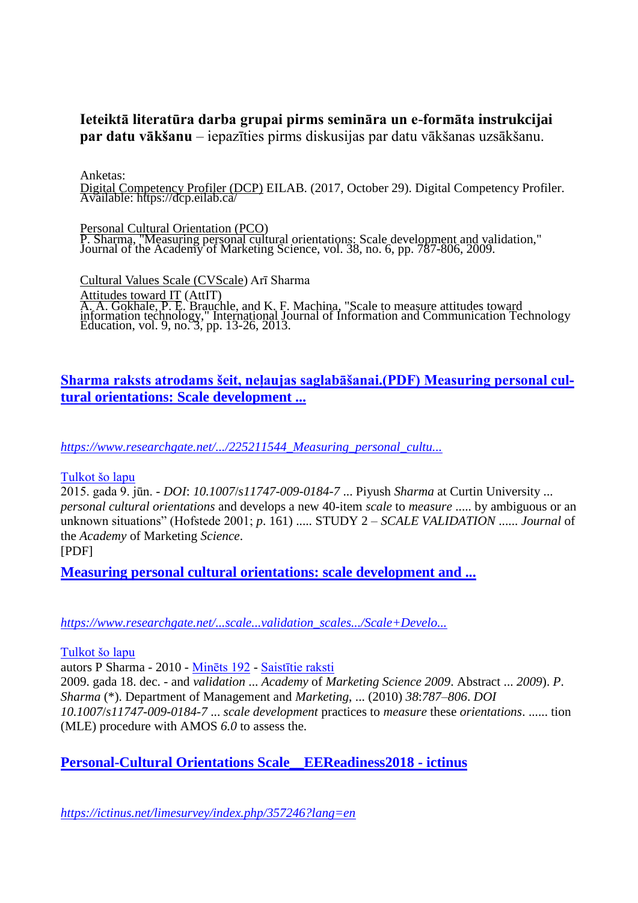## **Ieteiktā literatūra darba grupai pirms semināra un e-formāta instrukcijai par datu vākšanu** – iepazīties pirms diskusijas par datu vākšanas uzsākšanu.

Anketas:

Digital Competency Profiler (DCP) EILAB. (2017, October 29). Digital Competency Profiler. Available: https://dcp.eilab.ca/

Personal Cultural Orientation (PCO) P. Sharma, "Measuring personal cultural orientations: Scale development and validation," Journal of the Academy of Marketing Science, vol. 38, no. 6, pp. 787-806, 2009.

Cultural Values Scale (CVScale) Arī Sharma Attitudes toward IT (AttIT) A. A. Gokhale, P. E. Brauchle, and K. F. Machina, "Scale to measure attitudes toward information technology," International Journal of Information and Communication Technology Education, vol. 9, no. 3, pp. 13-26, 2013.

## **Sharma raksts atrodams šeit, neļaujas saglabāšanai.(PDF) Measuring personal cultural orientations: Scale development ...**

*https://www.researchgate.net/.../225211544\_Measuring\_personal\_cultu...*

#### [Tulkot šo lapu](https://translate.google.com/translate?hl=lv&sl=en&u=https://www.researchgate.net/publication/225211544_Measuring_personal_cultural_orientations_Scale_development_and_validation&prev=search)

2015. gada 9. jūn. - *DOI*: *10.1007*/*s11747*-*009-0184-7* ... Piyush *Sharma* at Curtin University ... *personal cultural orientations* and develops a new 40-item *scale* to *measure* ..... by ambiguous or an unknown situations" (Hofstede 2001; *p*. 161) ..... STUDY 2 – *SCALE VALIDATION* ...... *Journal* of the *Academy* of Marketing *Science*.

[PDF]

**Measuring personal cultural orientations: scale development and ...**

*https://www.researchgate.net/...scale...validation\_scales.../Scale+Develo...*

#### [Tulkot šo lapu](https://translate.google.com/translate?hl=lv&sl=en&u=https://www.researchgate.net/profile/Khan_Taufique/post/Are_there_any_papers_that_have_split_a_provisional_scale_and_its_validation_scales_into_separate_surveys/attachment/59d6203479197b807797eac4/AS%253A289193407336449%25401445960489862/download/Scale%2BDevelopment_JAMS.pdf&prev=search)

autors P Sharma - 2010 - [Minēts 192](https://scholar.google.com/scholar?client=firefox-b-d&um=1&ie=UTF-8&lr&cites=4920843201362657226) - [Saistītie raksti](https://scholar.google.com/scholar?client=firefox-b-d&um=1&ie=UTF-8&lr&q=related:yv-d5NFYSkTNBM:scholar.google.com/)

2009. gada 18. dec. - and *validation* ... *Academy* of *Marketing Science 2009*. Abstract ... *2009*). *P*. *Sharma* (\*). Department of Management and *Marketing*, ... (2010) *38*:*787–806*. *DOI 10.1007*/*s11747*-*009-0184-7* ... *scale development* practices to *measure* these *orientations*. ...... tion (MLE) procedure with AMOS *6.0* to assess the.

**Personal-Cultural Orientations Scale\_\_EEReadiness2018 - ictinus**

*https://ictinus.net/limesurvey/index.php/357246?lang=en*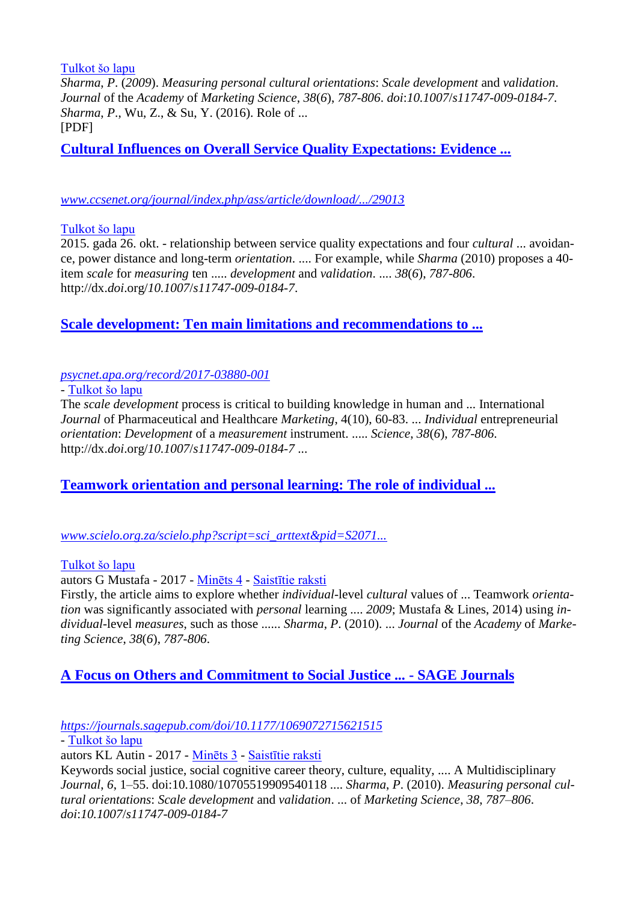[Tulkot šo lapu](https://translate.google.com/translate?hl=lv&sl=en&u=https://ictinus.net/limesurvey/index.php/357246%3Flang%3Den&prev=search)

*Sharma*, *P*. (*2009*). *Measuring personal cultural orientations*: *Scale development* and *validation*. *Journal* of the *Academy* of *Marketing Science*, *38*(*6*), *787-806*. *doi*:*10.1007*/*s11747*-*009-0184-7*. *Sharma*, *P*., Wu, Z., & Su, Y. (2016). Role of ... [PDF]

**Cultural Influences on Overall Service Quality Expectations: Evidence ...**

#### *www.ccsenet.org/journal/index.php/ass/article/download/.../29013*

#### [Tulkot šo lapu](https://translate.google.com/translate?hl=lv&sl=en&u=http://www.ccsenet.org/journal/index.php/ass/article/download/53219/29013&prev=search)

2015. gada 26. okt. - relationship between service quality expectations and four *cultural* ... avoidance, power distance and long-term *orientation*. .... For example, while *Sharma* (2010) proposes a 40 item *scale* for *measuring* ten ..... *development* and *validation*. .... *38*(*6*), *787-806*. http://dx.*doi*.org/*10.1007*/*s11747*-*009-0184-7*.

## **Scale development: Ten main limitations and recommendations to ...**

#### *psycnet.apa.org/record/2017-03880-001*

- [Tulkot šo lapu](https://translate.google.com/translate?hl=lv&sl=en&u=http://psycnet.apa.org/record/2017-03880-001&prev=search)

The *scale development* process is critical to building knowledge in human and ... International *Journal* of Pharmaceutical and Healthcare *Marketing*, 4(10), 60-83. ... *Individual* entrepreneurial *orientation*: *Development* of a *measurement* instrument. ..... *Science*, *38*(*6*), *787-806*. http://dx.*doi*.org/*10.1007*/*s11747*-*009-0184-7* ...

## **Teamwork orientation and personal learning: The role of individual ...**

### *www.scielo.org.za/scielo.php?script=sci\_arttext&pid=S2071...*

[Tulkot šo lapu](https://translate.google.com/translate?hl=lv&sl=en&u=http://www.scielo.org.za/scielo.php%3Fscript%3Dsci_arttext%26pid%3DS2071-07632017000100022&prev=search)

autors G Mustafa - 2017 - [Minēts 4](https://scholar.google.com/scholar?client=firefox-b-d&um=1&ie=UTF-8&lr&cites=3059529109065915228) - [Saistītie raksti](https://scholar.google.com/scholar?client=firefox-b-d&um=1&ie=UTF-8&lr&q=related:XFvXvYOhdSp8bM:scholar.google.com/)

Firstly, the article aims to explore whether *individual*-level *cultural* values of ... Teamwork *orientation* was significantly associated with *personal* learning .... *2009*; Mustafa & Lines, 2014) using *individual*-level *measures*, such as those ...... *Sharma*, *P*. (2010). ... *Journal* of the *Academy* of *Marketing Science*, *38*(*6*), *787-806*.

## **A Focus on Others and Commitment to Social Justice ... - SAGE Journals**

*https://journals.sagepub.com/doi/10.1177/1069072715621515*

- [Tulkot šo lapu](https://translate.google.com/translate?hl=lv&sl=en&u=https://journals.sagepub.com/doi/10.1177/1069072715621515&prev=search)

autors KL Autin - 2017 - [Minēts 3](https://scholar.google.com/scholar?client=firefox-b-d&um=1&ie=UTF-8&lr&cites=18192564375053426594) - [Saistītie raksti](https://scholar.google.com/scholar?client=firefox-b-d&um=1&ie=UTF-8&lr&q=related:ol98KOn4ePxOcM:scholar.google.com/)

Keywords social justice, social cognitive career theory, culture, equality, .... A Multidisciplinary *Journal*, *6*, 1–55. doi:10.1080/10705519909540118 .... *Sharma*, *P*. (2010). *Measuring personal cultural orientations*: *Scale development* and *validation*. ... of *Marketing Science*, *38*, *787–806*. *doi*:*10.1007*/*s11747*-*009-0184-7*